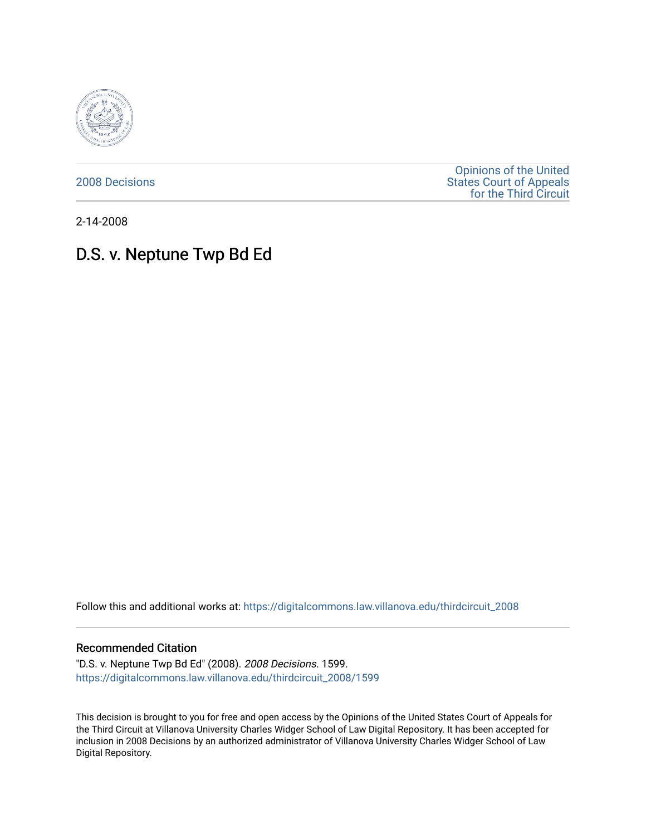

[2008 Decisions](https://digitalcommons.law.villanova.edu/thirdcircuit_2008)

[Opinions of the United](https://digitalcommons.law.villanova.edu/thirdcircuit)  [States Court of Appeals](https://digitalcommons.law.villanova.edu/thirdcircuit)  [for the Third Circuit](https://digitalcommons.law.villanova.edu/thirdcircuit) 

2-14-2008

# D.S. v. Neptune Twp Bd Ed

Follow this and additional works at: [https://digitalcommons.law.villanova.edu/thirdcircuit\\_2008](https://digitalcommons.law.villanova.edu/thirdcircuit_2008?utm_source=digitalcommons.law.villanova.edu%2Fthirdcircuit_2008%2F1599&utm_medium=PDF&utm_campaign=PDFCoverPages) 

#### Recommended Citation

"D.S. v. Neptune Twp Bd Ed" (2008). 2008 Decisions. 1599. [https://digitalcommons.law.villanova.edu/thirdcircuit\\_2008/1599](https://digitalcommons.law.villanova.edu/thirdcircuit_2008/1599?utm_source=digitalcommons.law.villanova.edu%2Fthirdcircuit_2008%2F1599&utm_medium=PDF&utm_campaign=PDFCoverPages) 

This decision is brought to you for free and open access by the Opinions of the United States Court of Appeals for the Third Circuit at Villanova University Charles Widger School of Law Digital Repository. It has been accepted for inclusion in 2008 Decisions by an authorized administrator of Villanova University Charles Widger School of Law Digital Repository.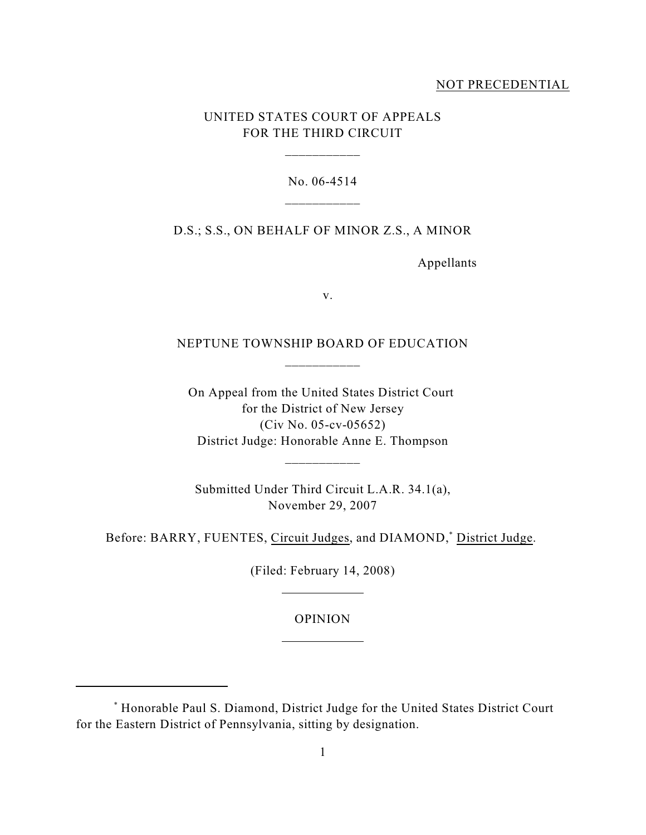### NOT PRECEDENTIAL

## UNITED STATES COURT OF APPEALS FOR THE THIRD CIRCUIT

\_\_\_\_\_\_\_\_\_\_\_

No. 06-4514

D.S.; S.S., ON BEHALF OF MINOR Z.S., A MINOR

Appellants

v.

NEPTUNE TOWNSHIP BOARD OF EDUCATION \_\_\_\_\_\_\_\_\_\_\_

On Appeal from the United States District Court for the District of New Jersey (Civ No. 05-cv-05652) District Judge: Honorable Anne E. Thompson

Submitted Under Third Circuit L.A.R. 34.1(a), November 29, 2007

\_\_\_\_\_\_\_\_\_\_\_

Before: BARRY, FUENTES, Circuit Judges, and DIAMOND,<sup>\*</sup> District Judge.

(Filed: February 14, 2008)

l

l

OPINION

Honorable Paul S. Diamond, District Judge for the United States District Court \* for the Eastern District of Pennsylvania, sitting by designation.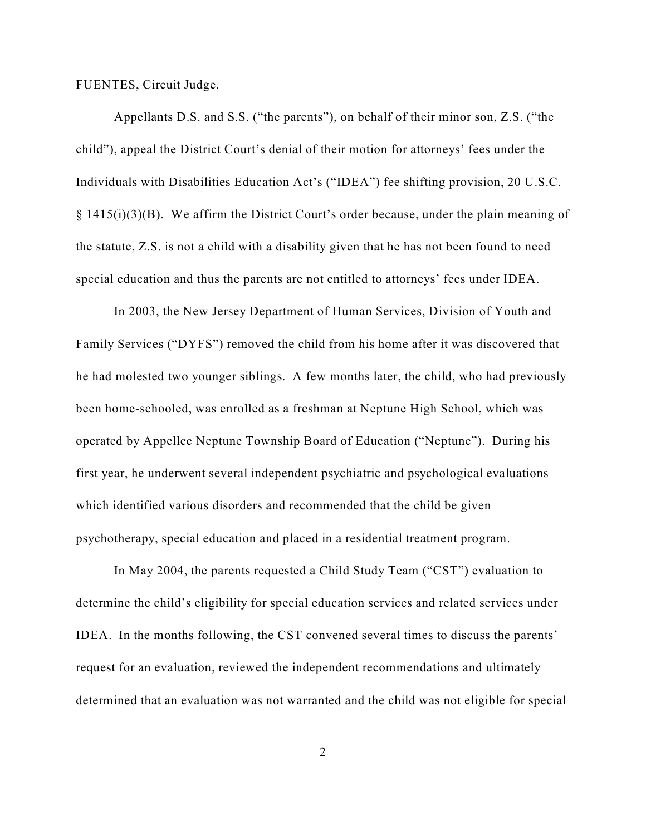#### FUENTES, Circuit Judge.

Appellants D.S. and S.S. ("the parents"), on behalf of their minor son, Z.S. ("the child"), appeal the District Court's denial of their motion for attorneys' fees under the Individuals with Disabilities Education Act's ("IDEA") fee shifting provision, 20 U.S.C. § 1415(i)(3)(B). We affirm the District Court's order because, under the plain meaning of the statute, Z.S. is not a child with a disability given that he has not been found to need special education and thus the parents are not entitled to attorneys' fees under IDEA.

In 2003, the New Jersey Department of Human Services, Division of Youth and Family Services ("DYFS") removed the child from his home after it was discovered that he had molested two younger siblings. A few months later, the child, who had previously been home-schooled, was enrolled as a freshman at Neptune High School, which was operated by Appellee Neptune Township Board of Education ("Neptune"). During his first year, he underwent several independent psychiatric and psychological evaluations which identified various disorders and recommended that the child be given psychotherapy, special education and placed in a residential treatment program.

In May 2004, the parents requested a Child Study Team ("CST") evaluation to determine the child's eligibility for special education services and related services under IDEA. In the months following, the CST convened several times to discuss the parents' request for an evaluation, reviewed the independent recommendations and ultimately determined that an evaluation was not warranted and the child was not eligible for special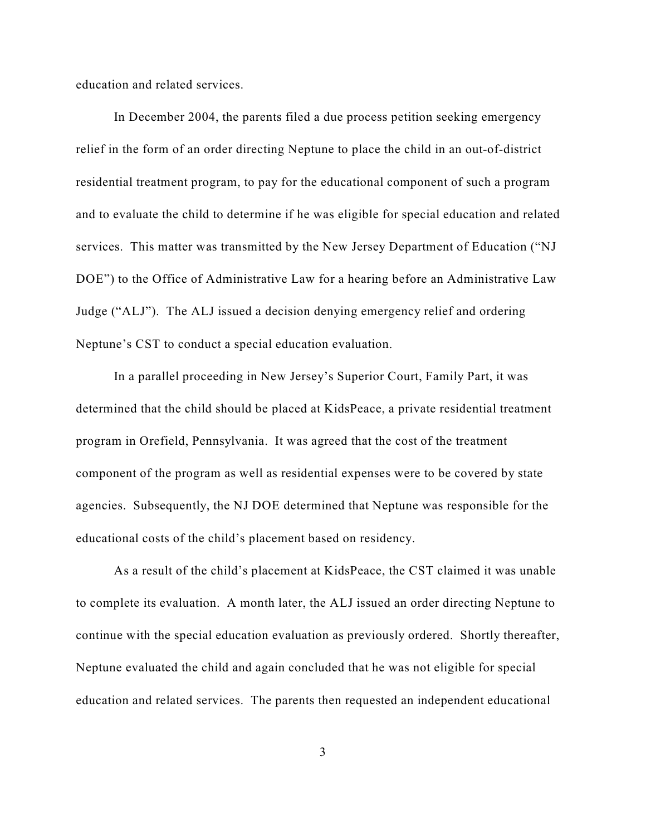education and related services.

In December 2004, the parents filed a due process petition seeking emergency relief in the form of an order directing Neptune to place the child in an out-of-district residential treatment program, to pay for the educational component of such a program and to evaluate the child to determine if he was eligible for special education and related services. This matter was transmitted by the New Jersey Department of Education ("NJ DOE") to the Office of Administrative Law for a hearing before an Administrative Law Judge ("ALJ"). The ALJ issued a decision denying emergency relief and ordering Neptune's CST to conduct a special education evaluation.

In a parallel proceeding in New Jersey's Superior Court, Family Part, it was determined that the child should be placed at KidsPeace, a private residential treatment program in Orefield, Pennsylvania. It was agreed that the cost of the treatment component of the program as well as residential expenses were to be covered by state agencies. Subsequently, the NJ DOE determined that Neptune was responsible for the educational costs of the child's placement based on residency.

As a result of the child's placement at KidsPeace, the CST claimed it was unable to complete its evaluation. A month later, the ALJ issued an order directing Neptune to continue with the special education evaluation as previously ordered. Shortly thereafter, Neptune evaluated the child and again concluded that he was not eligible for special education and related services. The parents then requested an independent educational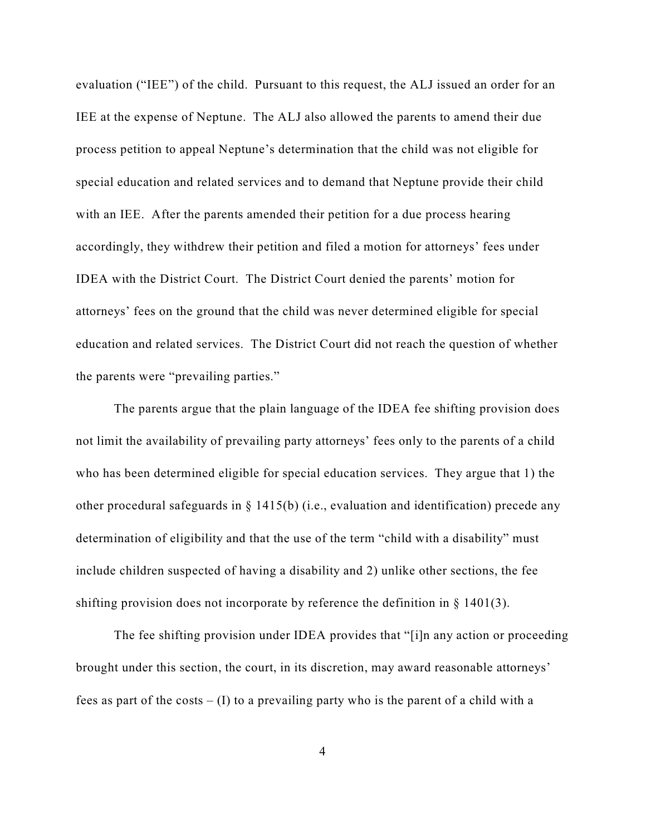evaluation ("IEE") of the child. Pursuant to this request, the ALJ issued an order for an IEE at the expense of Neptune. The ALJ also allowed the parents to amend their due process petition to appeal Neptune's determination that the child was not eligible for special education and related services and to demand that Neptune provide their child with an IEE. After the parents amended their petition for a due process hearing accordingly, they withdrew their petition and filed a motion for attorneys' fees under IDEA with the District Court. The District Court denied the parents' motion for attorneys' fees on the ground that the child was never determined eligible for special education and related services. The District Court did not reach the question of whether the parents were "prevailing parties."

 The parents argue that the plain language of the IDEA fee shifting provision does not limit the availability of prevailing party attorneys' fees only to the parents of a child who has been determined eligible for special education services. They argue that 1) the other procedural safeguards in  $\S$  1415(b) (i.e., evaluation and identification) precede any determination of eligibility and that the use of the term "child with a disability" must include children suspected of having a disability and 2) unlike other sections, the fee shifting provision does not incorporate by reference the definition in  $\S$  1401(3).

The fee shifting provision under IDEA provides that "[i]n any action or proceeding brought under this section, the court, in its discretion, may award reasonable attorneys' fees as part of the costs  $- (I)$  to a prevailing party who is the parent of a child with a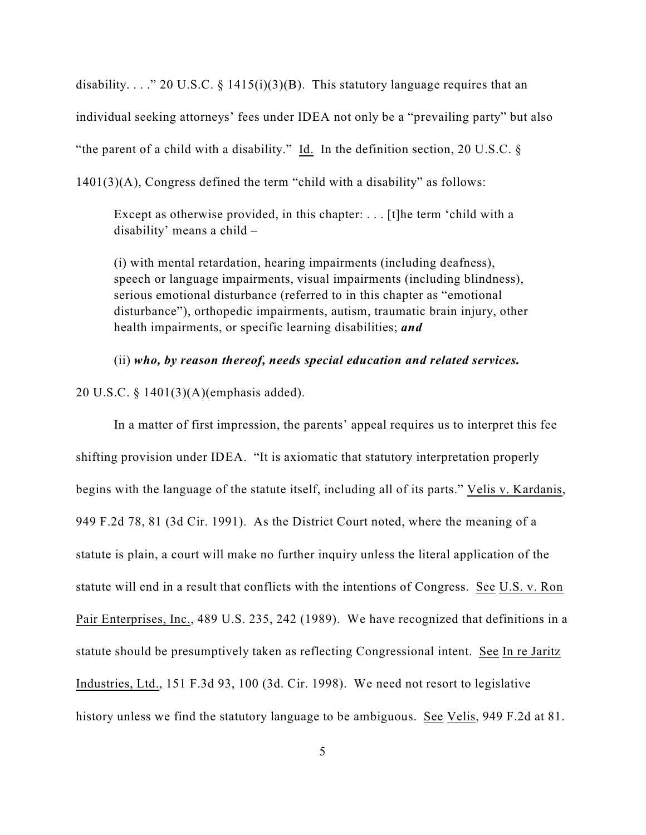disability...." 20 U.S.C. § 1415(i)(3)(B). This statutory language requires that an individual seeking attorneys' fees under IDEA not only be a "prevailing party" but also "the parent of a child with a disability." Id. In the definition section, 20 U.S.C.  $\S$ 1401(3)(A), Congress defined the term "child with a disability" as follows:

Except as otherwise provided, in this chapter: . . . [t]he term 'child with a disability' means a child –

(i) with mental retardation, hearing impairments (including deafness), speech or language impairments, visual impairments (including blindness), serious emotional disturbance (referred to in this chapter as "emotional disturbance"), orthopedic impairments, autism, traumatic brain injury, other health impairments, or specific learning disabilities; *and*

(ii) *who, by reason thereof, needs special education and related services.*

20 U.S.C. § 1401(3)(A)(emphasis added).

In a matter of first impression, the parents' appeal requires us to interpret this fee shifting provision under IDEA. "It is axiomatic that statutory interpretation properly begins with the language of the statute itself, including all of its parts." Velis v. Kardanis, 949 F.2d 78, 81 (3d Cir. 1991). As the District Court noted, where the meaning of a statute is plain, a court will make no further inquiry unless the literal application of the statute will end in a result that conflicts with the intentions of Congress. See U.S. v. Ron Pair Enterprises, Inc., 489 U.S. 235, 242 (1989). We have recognized that definitions in a statute should be presumptively taken as reflecting Congressional intent. See In re Jaritz Industries, Ltd., 151 F.3d 93, 100 (3d. Cir. 1998). We need not resort to legislative history unless we find the statutory language to be ambiguous. See Velis, 949 F.2d at 81.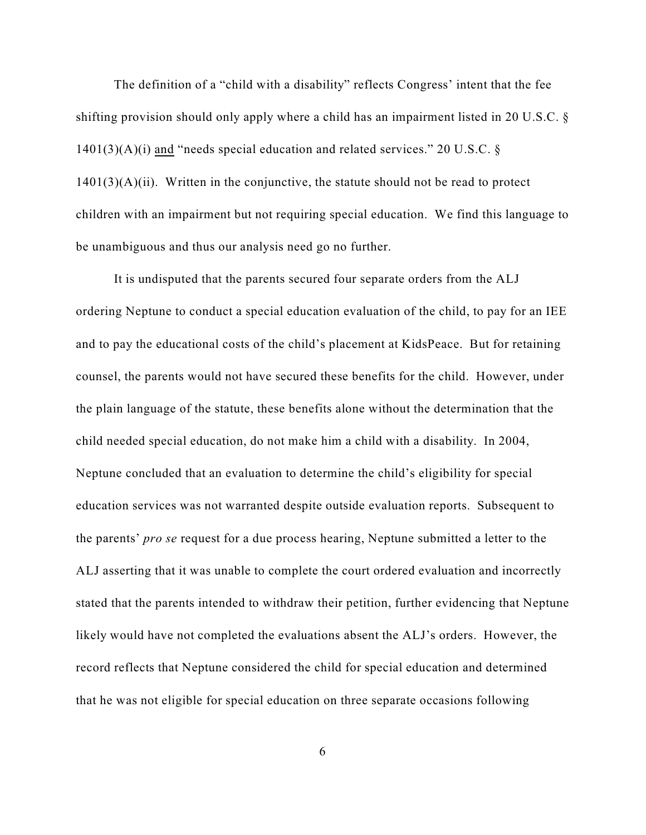The definition of a "child with a disability" reflects Congress' intent that the fee shifting provision should only apply where a child has an impairment listed in 20 U.S.C. §  $1401(3)(A)(i)$  and "needs special education and related services." 20 U.S.C. §  $1401(3)(A)(ii)$ . Written in the conjunctive, the statute should not be read to protect children with an impairment but not requiring special education. We find this language to be unambiguous and thus our analysis need go no further.

It is undisputed that the parents secured four separate orders from the ALJ ordering Neptune to conduct a special education evaluation of the child, to pay for an IEE and to pay the educational costs of the child's placement at KidsPeace. But for retaining counsel, the parents would not have secured these benefits for the child. However, under the plain language of the statute, these benefits alone without the determination that the child needed special education, do not make him a child with a disability. In 2004, Neptune concluded that an evaluation to determine the child's eligibility for special education services was not warranted despite outside evaluation reports. Subsequent to the parents' *pro se* request for a due process hearing, Neptune submitted a letter to the ALJ asserting that it was unable to complete the court ordered evaluation and incorrectly stated that the parents intended to withdraw their petition, further evidencing that Neptune likely would have not completed the evaluations absent the ALJ's orders. However, the record reflects that Neptune considered the child for special education and determined that he was not eligible for special education on three separate occasions following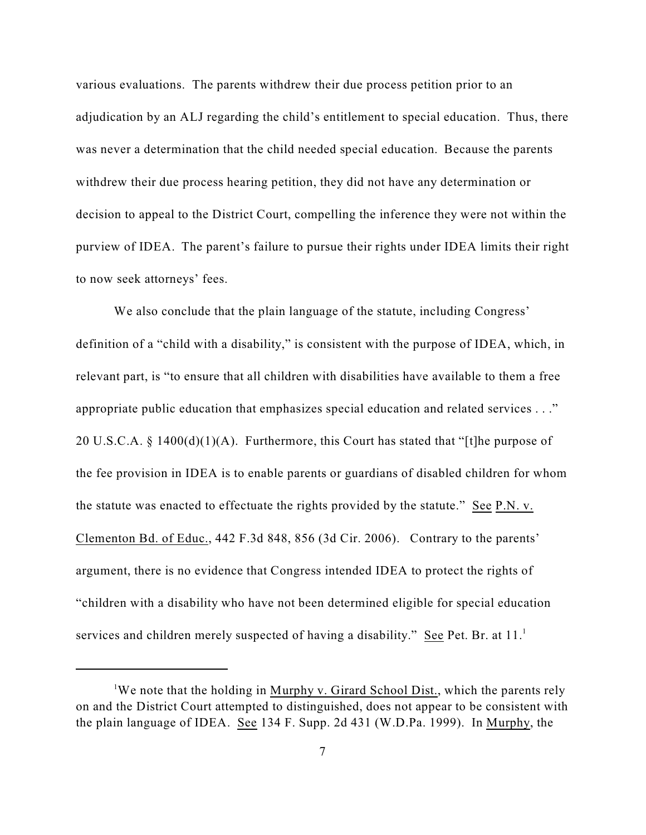various evaluations. The parents withdrew their due process petition prior to an adjudication by an ALJ regarding the child's entitlement to special education. Thus, there was never a determination that the child needed special education. Because the parents withdrew their due process hearing petition, they did not have any determination or decision to appeal to the District Court, compelling the inference they were not within the purview of IDEA. The parent's failure to pursue their rights under IDEA limits their right to now seek attorneys' fees.

We also conclude that the plain language of the statute, including Congress' definition of a "child with a disability," is consistent with the purpose of IDEA, which, in relevant part, is "to ensure that all children with disabilities have available to them a free appropriate public education that emphasizes special education and related services . . ." 20 U.S.C.A.  $\S$  1400(d)(1)(A). Furthermore, this Court has stated that "[t]he purpose of the fee provision in IDEA is to enable parents or guardians of disabled children for whom the statute was enacted to effectuate the rights provided by the statute." See P.N. v. Clementon Bd. of Educ., 442 F.3d 848, 856 (3d Cir. 2006). Contrary to the parents' argument, there is no evidence that Congress intended IDEA to protect the rights of "children with a disability who have not been determined eligible for special education services and children merely suspected of having a disability." See Pet. Br. at  $11.^1$ 

<sup>&</sup>lt;sup>1</sup>We note that the holding in Murphy v. Girard School Dist., which the parents rely on and the District Court attempted to distinguished, does not appear to be consistent with the plain language of IDEA. See 134 F. Supp. 2d 431 (W.D.Pa. 1999). In Murphy, the